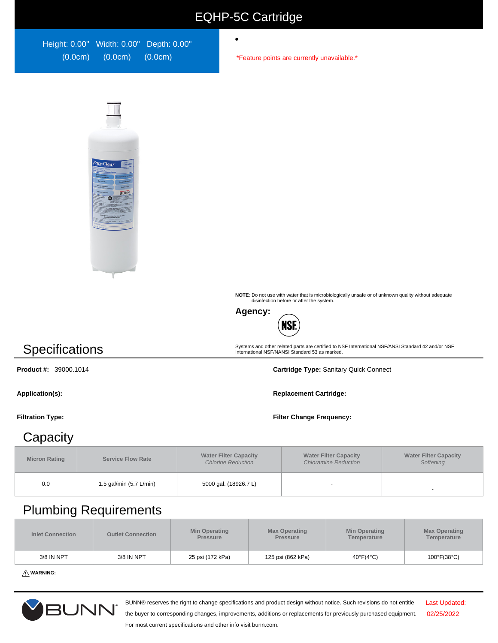### EQHP-5C Cartridge

 $\bullet$ 

| Height: 0.00" Width: 0.00" Depth: 0.00" |         |         |
|-----------------------------------------|---------|---------|
| (0.0cm)                                 | (0.0cm) | (0.0cm) |

\*Feature points are currently unavailable.\*



**NOTE**: Do not use with water that is microbiologically unsafe or of unknown quality without adequate disinfection before or after the system.

Systems and other related parts are certified to NSF International NSF/ANSI Standard 42 and/or NSF International NSF/NANSI Standard 53 as marked.



## **Specifications**

**Product #:** 39000.1014 **Cartridge Type:** Sanitary Quick Connect

**Application(s): Replacement Cartridge:**

#### **Filtration Type: Filter Change Frequency:**

#### **Capacity**

| <b>Micron Rating</b> | <b>Service Flow Rate</b> | <b>Water Filter Capacity</b><br><b>Chlorine Reduction</b> | <b>Water Filter Capacity</b><br><b>Chloramine Reduction</b> | <b>Water Filter Capacity</b><br>Softening |
|----------------------|--------------------------|-----------------------------------------------------------|-------------------------------------------------------------|-------------------------------------------|
| 0.0                  | 1.5 gal/min (5.7 L/min)  | 5000 gal. (18926.7 L)                                     |                                                             |                                           |

### Plumbing Requirements

| <b>Inlet Connection</b> | <b>Outlet Connection</b> | <b>Min Operating</b><br><b>Pressure</b> | <b>Max Operating</b><br><b>Pressure</b> | <b>Min Operating</b><br>Temperature | <b>Max Operating</b><br>Temperature |
|-------------------------|--------------------------|-----------------------------------------|-----------------------------------------|-------------------------------------|-------------------------------------|
| 3/8 IN NPT              | 3/8 IN NPT               | 25 psi (172 kPa)                        | 125 psi (862 kPa)                       | 40°F(4°C)                           | $100^{\circ}$ F(38 $^{\circ}$ C)    |

**WARNING:**



BUNN® reserves the right to change specifications and product design without notice. Such revisions do not entitle

Last Updated: 02/25/2022

the buyer to corresponding changes, improvements, additions or replacements for previously purchased equipment. For most current specifications and other info visit bunn.com.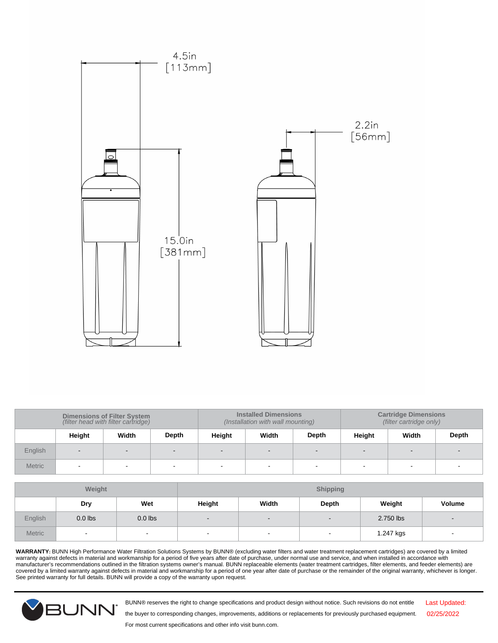

| <b>Dimensions of Filter System</b><br>(filter head with filter cartridge) |        | <b>Installed Dimensions</b><br>(Installation with wall mounting) |       |        | <b>Cartridge Dimensions</b><br>(filter cartridge only) |                          |        |                          |       |
|---------------------------------------------------------------------------|--------|------------------------------------------------------------------|-------|--------|--------------------------------------------------------|--------------------------|--------|--------------------------|-------|
|                                                                           | Height | Width                                                            | Depth | Height | Width                                                  | <b>Depth</b>             | Height | Width                    | Depth |
| English                                                                   | $\sim$ |                                                                  |       |        |                                                        | $\overline{\phantom{0}}$ |        | $\overline{\phantom{0}}$ |       |
| <b>Metric</b>                                                             |        |                                                                  |       |        |                                                        |                          |        |                          |       |

| Weight        |           |           | <b>Shipping</b> |                          |                          |           |        |
|---------------|-----------|-----------|-----------------|--------------------------|--------------------------|-----------|--------|
|               | Dry       | Wet       | Height          | Width                    | <b>Depth</b>             | Weight    | Volume |
| English       | $0.0$ lbs | $0.0$ lbs | $\qquad \qquad$ | $\overline{\phantom{a}}$ | $\overline{\phantom{a}}$ | 2.750 lbs |        |
| <b>Metric</b> | $\sim$    | $\sim$    | $\blacksquare$  | $\overline{\phantom{a}}$ | $\overline{\phantom{a}}$ | 1.247 kgs | ٠      |

**WARRANTY:** BUNN High Performance Water Filtration Solutions Systems by BUNN® (excluding water filters and water treatment replacement cartridges) are covered by a limited warranty against defects in material and workmanship for a period of five years after date of purchase, under normal use and service, and when installed in accordance with<br>manufacturer's recommendations outlined in the fil See printed warranty for full details. BUNN will provide a copy of the warranty upon request.



BUNN® reserves the right to change specifications and product design without notice. Such revisions do not entitle

Last Updated: 02/25/2022

For most current specifications and other info visit bunn.com.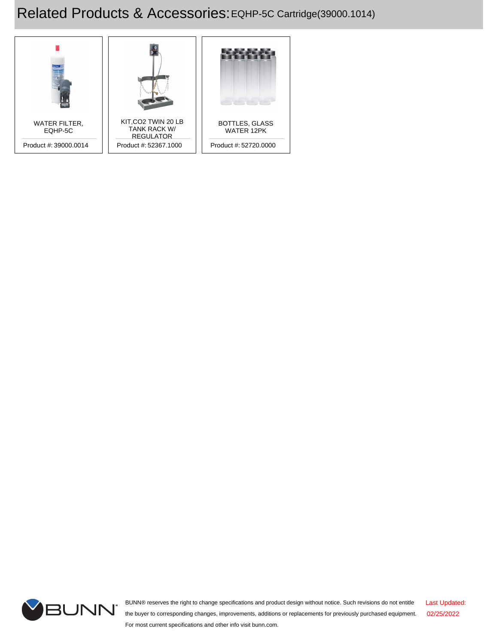# Related Products & Accessories:EQHP-5C Cartridge(39000.1014)





BUNN® reserves the right to change specifications and product design without notice. Such revisions do not entitle the buyer to corresponding changes, improvements, additions or replacements for previously purchased equipment. For most current specifications and other info visit bunn.com. Last Updated: 02/25/2022